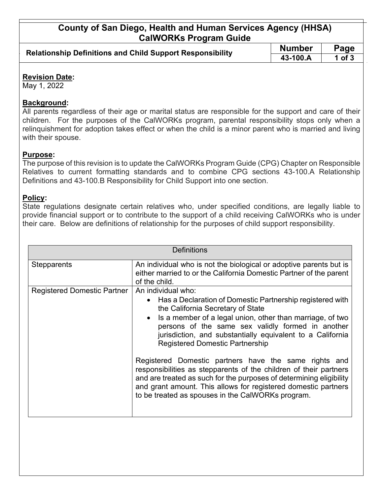## **County of San Diego, Health and Human Services Agency (HHSA) CalWORKs Program Guide**

| <b>Relationship Definitions and Child Support Responsibility</b> | <b>Number</b> | Page     |
|------------------------------------------------------------------|---------------|----------|
|                                                                  | 43-100.A      | 1 of $3$ |

#### **Revision Date:**

May 1, 2022

### **Background:**

All parents regardless of their age or marital status are responsible for the support and care of their children. For the purposes of the CalWORKs program, parental responsibility stops only when a relinquishment for adoption takes effect or when the child is a minor parent who is married and living with their spouse.

#### **Purpose:**

The purpose of this revision is to update the CalWORKs Program Guide (CPG) Chapter on Responsible Relatives to current formatting standards and to combine CPG sections 43-100.A Relationship Definitions and 43-100.B Responsibility for Child Support into one section.

#### **Policy:**

State regulations designate certain relatives who, under specified conditions, are legally liable to provide financial support or to contribute to the support of a child receiving CalWORKs who is under their care. Below are definitions of relationship for the purposes of child support responsibility.

| Definitions                        |                                                                                                                                                                                                                                                                                                                                                  |  |
|------------------------------------|--------------------------------------------------------------------------------------------------------------------------------------------------------------------------------------------------------------------------------------------------------------------------------------------------------------------------------------------------|--|
| <b>Stepparents</b>                 | An individual who is not the biological or adoptive parents but is<br>either married to or the California Domestic Partner of the parent<br>of the child.                                                                                                                                                                                        |  |
| <b>Registered Domestic Partner</b> | An individual who:<br>• Has a Declaration of Domestic Partnership registered with<br>the California Secretary of State<br>Is a member of a legal union, other than marriage, of two<br>persons of the same sex validly formed in another<br>jurisdiction, and substantially equivalent to a California<br><b>Registered Domestic Partnership</b> |  |
|                                    | Registered Domestic partners have the same rights and<br>responsibilities as stepparents of the children of their partners<br>and are treated as such for the purposes of determining eligibility<br>and grant amount. This allows for registered domestic partners<br>to be treated as spouses in the CalWORKs program.                         |  |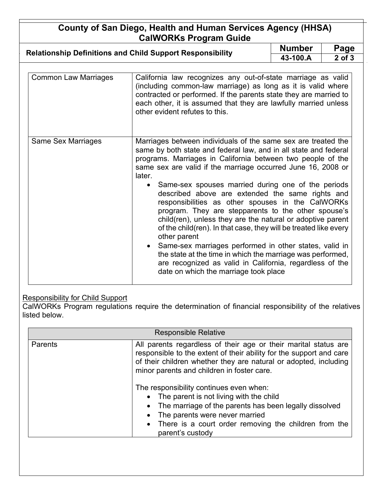# **County of San Diego, Health and Human Services Agency (HHSA) CalWORKs Program Guide**

| <b>Relationship Definitions and Child Support Responsibility</b> | <b>Number</b> | Page       |
|------------------------------------------------------------------|---------------|------------|
|                                                                  | 43-100.A      | $2$ of $3$ |

| <b>Common Law Marriages</b> | California law recognizes any out-of-state marriage as valid<br>(including common-law marriage) as long as it is valid where<br>contracted or performed. If the parents state they are married to<br>each other, it is assumed that they are lawfully married unless<br>other evident refutes to this.                                                                                                                                                                                                                                                                                                                                                                                                                                                                                                                                                                                         |
|-----------------------------|------------------------------------------------------------------------------------------------------------------------------------------------------------------------------------------------------------------------------------------------------------------------------------------------------------------------------------------------------------------------------------------------------------------------------------------------------------------------------------------------------------------------------------------------------------------------------------------------------------------------------------------------------------------------------------------------------------------------------------------------------------------------------------------------------------------------------------------------------------------------------------------------|
| Same Sex Marriages          | Marriages between individuals of the same sex are treated the<br>same by both state and federal law, and in all state and federal<br>programs. Marriages in California between two people of the<br>same sex are valid if the marriage occurred June 16, 2008 or<br>later.<br>Same-sex spouses married during one of the periods<br>$\bullet$<br>described above are extended the same rights and<br>responsibilities as other spouses in the CalWORKs<br>program. They are stepparents to the other spouse's<br>child(ren), unless they are the natural or adoptive parent<br>of the child(ren). In that case, they will be treated like every<br>other parent<br>• Same-sex marriages performed in other states, valid in<br>the state at the time in which the marriage was performed,<br>are recognized as valid in California, regardless of the<br>date on which the marriage took place |

### Responsibility for Child Support

CalWORKs Program regulations require the determination of financial responsibility of the relatives listed below.

| <b>Responsible Relative</b> |                                                                                                                                                                                                                                                                                                                                                                                                            |  |
|-----------------------------|------------------------------------------------------------------------------------------------------------------------------------------------------------------------------------------------------------------------------------------------------------------------------------------------------------------------------------------------------------------------------------------------------------|--|
| Parents                     | All parents regardless of their age or their marital status are<br>responsible to the extent of their ability for the support and care<br>of their children whether they are natural or adopted, including<br>minor parents and children in foster care.<br>The responsibility continues even when:<br>• The parent is not living with the child<br>The marriage of the parents has been legally dissolved |  |
|                             | The parents were never married                                                                                                                                                                                                                                                                                                                                                                             |  |
|                             | • There is a court order removing the children from the<br>parent's custody                                                                                                                                                                                                                                                                                                                                |  |